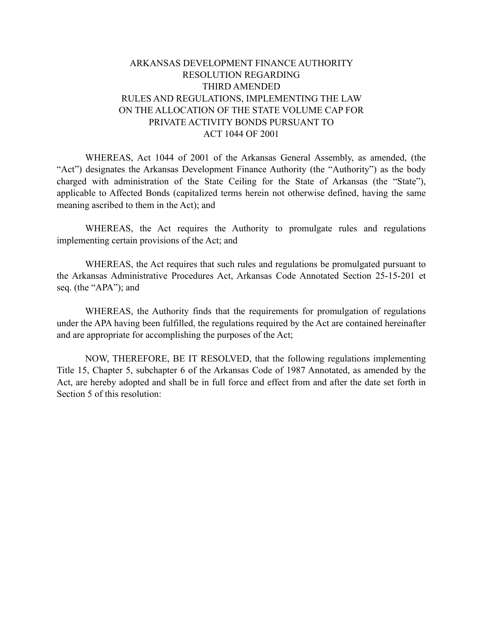# ARKANSAS DEVELOPMENT FINANCE AUTHORITY RESOLUTION REGARDING THIRD AMENDED RULES AND REGULATIONS, IMPLEMENTING THE LAW ON THE ALLOCATION OF THE STATE VOLUME CAP FOR PRIVATE ACTIVITY BONDS PURSUANT TO ACT 1044 OF 2001

WHEREAS, Act 1044 of 2001 of the Arkansas General Assembly, as amended, (the "Act") designates the Arkansas Development Finance Authority (the "Authority") as the body charged with administration of the State Ceiling for the State of Arkansas (the "State"), applicable to Affected Bonds (capitalized terms herein not otherwise defined, having the same meaning ascribed to them in the Act); and

WHEREAS, the Act requires the Authority to promulgate rules and regulations implementing certain provisions of the Act; and

WHEREAS, the Act requires that such rules and regulations be promulgated pursuant to the Arkansas Administrative Procedures Act, Arkansas Code Annotated Section 25-15-201 et seq. (the "APA"); and

WHEREAS, the Authority finds that the requirements for promulgation of regulations under the APA having been fulfilled, the regulations required by the Act are contained hereinafter and are appropriate for accomplishing the purposes of the Act;

NOW, THEREFORE, BE IT RESOLVED, that the following regulations implementing Title 15, Chapter 5, subchapter 6 of the Arkansas Code of 1987 Annotated, as amended by the Act, are hereby adopted and shall be in full force and effect from and after the date set forth in Section 5 of this resolution: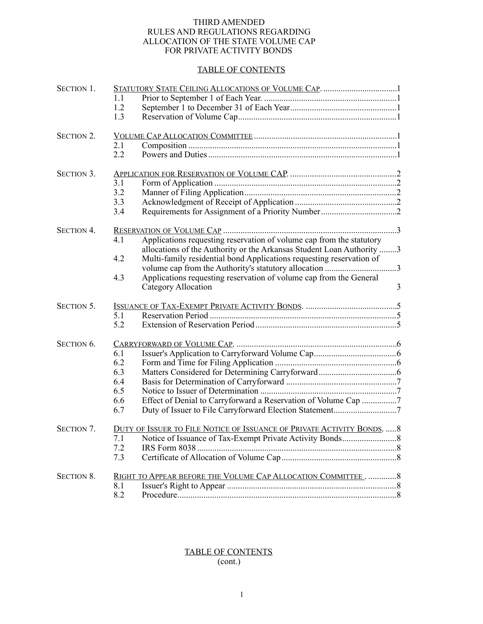#### THIRD AMENDED RULES AND REGULATIONS REGARDING ALLOCATION OF THE STATE VOLUME CAP FOR PRIVATE ACTIVITY BONDS

#### TABLE OF CONTENTS

| SECTION 1.        |     |                                                                       |   |
|-------------------|-----|-----------------------------------------------------------------------|---|
|                   | 1.1 |                                                                       |   |
|                   | 1.2 |                                                                       |   |
|                   | 1.3 |                                                                       |   |
| <b>SECTION 2.</b> |     |                                                                       |   |
|                   | 2.1 |                                                                       |   |
|                   | 2.2 |                                                                       |   |
| SECTION 3.        |     |                                                                       |   |
|                   | 3.1 |                                                                       |   |
|                   | 3.2 |                                                                       |   |
|                   | 3.3 |                                                                       |   |
|                   | 3.4 |                                                                       |   |
| <b>SECTION 4.</b> |     |                                                                       |   |
|                   | 4.1 | Applications requesting reservation of volume cap from the statutory  |   |
|                   |     | allocations of the Authority or the Arkansas Student Loan Authority 3 |   |
|                   | 4.2 | Multi-family residential bond Applications requesting reservation of  |   |
|                   |     |                                                                       |   |
|                   | 4.3 | Applications requesting reservation of volume cap from the General    |   |
|                   |     | Category Allocation                                                   | 3 |
| SECTION 5.        |     |                                                                       |   |
|                   | 5.1 |                                                                       |   |
|                   | 5.2 |                                                                       |   |
| SECTION 6.        |     |                                                                       |   |
|                   | 6.1 |                                                                       |   |
|                   | 6.2 |                                                                       |   |
|                   | 6.3 |                                                                       |   |
|                   | 6.4 |                                                                       |   |
|                   | 6.5 |                                                                       |   |
|                   | 6.6 | Effect of Denial to Carryforward a Reservation of Volume Cap 7        |   |
|                   | 6.7 |                                                                       |   |
| <b>SECTION 7.</b> |     | DUTY OF ISSUER TO FILE NOTICE OF ISSUANCE OF PRIVATE ACTIVITY BONDS8  |   |
|                   | 7.1 |                                                                       |   |
|                   | 7.2 | IRS Form 8038.                                                        |   |
|                   | 7.3 |                                                                       |   |
| <b>SECTION 8.</b> |     | RIGHT TO APPEAR BEFORE THE VOLUME CAP ALLOCATION COMMITTEE8           |   |
|                   | 8.1 |                                                                       |   |
|                   | 8.2 |                                                                       |   |

### TABLE OF CONTENTS (cont.)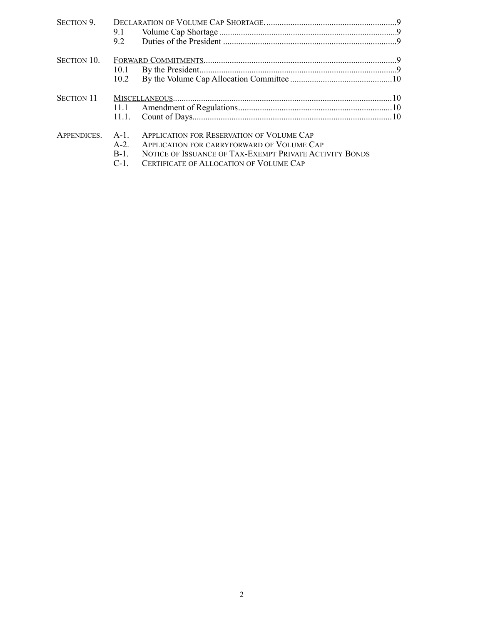| SECTION 9.         | 9.1<br>92                                                        |  |
|--------------------|------------------------------------------------------------------|--|
| <b>SECTION 10.</b> |                                                                  |  |
|                    | 10.1                                                             |  |
|                    | 10.2                                                             |  |
| <b>SECTION 11</b>  |                                                                  |  |
|                    | 11.1                                                             |  |
|                    | 11.1.                                                            |  |
| APPENDICES.        | <b>APPLICATION FOR RESERVATION OF VOLUME CAP</b><br>$A-1$        |  |
|                    | $A-2$ .<br>APPLICATION FOR CARRYFORWARD OF VOLUME CAP            |  |
|                    | NOTICE OF ISSUANCE OF TAX-EXEMPT PRIVATE ACTIVITY BONDS<br>$B-1$ |  |
|                    | $C-1$<br>CERTIFICATE OF ALLOCATION OF VOLUME CAP                 |  |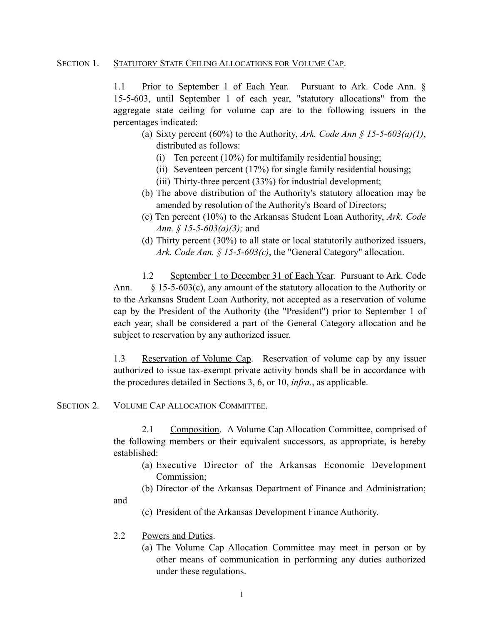### SECTION 1. STATUTORY STATE CEILING ALLOCATIONS FOR VOLUME CAP.

1.1 Prior to September 1 of Each Year. Pursuant to Ark. Code Ann. § 15-5-603, until September 1 of each year, "statutory allocations" from the aggregate state ceiling for volume cap are to the following issuers in the percentages indicated:

- (a) Sixty percent (60%) to the Authority, *Ark. Code Ann § 15-5-603(a)(1)*, distributed as follows:
	- (i) Ten percent (10%) for multifamily residential housing;
	- (ii) Seventeen percent (17%) for single family residential housing;
	- (iii) Thirty-three percent (33%) for industrial development;
- (b) The above distribution of the Authority's statutory allocation may be amended by resolution of the Authority's Board of Directors;
- (c) Ten percent (10%) to the Arkansas Student Loan Authority, *Ark. Code Ann. § 15-5-603(a)(3);* and
- (d) Thirty percent (30%) to all state or local statutorily authorized issuers, *Ark. Code Ann. § 15-5-603(c)*, the "General Category" allocation.

 1.2 September 1 to December 31 of Each Year. Pursuant to Ark. Code Ann. § 15-5-603(c), any amount of the statutory allocation to the Authority or to the Arkansas Student Loan Authority, not accepted as a reservation of volume cap by the President of the Authority (the "President") prior to September 1 of each year, shall be considered a part of the General Category allocation and be subject to reservation by any authorized issuer.

1.3 Reservation of Volume Cap. Reservation of volume cap by any issuer authorized to issue tax-exempt private activity bonds shall be in accordance with the procedures detailed in Sections 3, 6, or 10, *infra.*, as applicable.

#### SECTION 2. VOLUME CAP ALLOCATION COMMITTEE.

 2.1 Composition. A Volume Cap Allocation Committee, comprised of the following members or their equivalent successors, as appropriate, is hereby established:

- (a) Executive Director of the Arkansas Economic Development Commission<sup>-</sup>
- (b) Director of the Arkansas Department of Finance and Administration;

and

- (c) President of the Arkansas Development Finance Authority.
- 2.2 Powers and Duties.
	- (a) The Volume Cap Allocation Committee may meet in person or by other means of communication in performing any duties authorized under these regulations.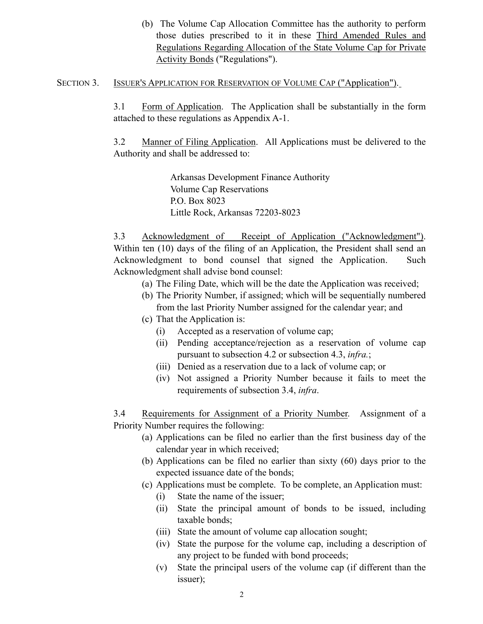(b) The Volume Cap Allocation Committee has the authority to perform those duties prescribed to it in these Third Amended Rules and Regulations Regarding Allocation of the State Volume Cap for Private Activity Bonds ("Regulations").

## SECTION 3. ISSUER'S APPLICATION FOR RESERVATION OF VOLUME CAP ("Application").

3.1 Form of Application. The Application shall be substantially in the form attached to these regulations as Appendix A-1.

3.2 Manner of Filing Application. All Applications must be delivered to the Authority and shall be addressed to:

> Arkansas Development Finance Authority Volume Cap Reservations P.O. Box 8023 Little Rock, Arkansas 72203-8023

3.3 Acknowledgment of Receipt of Application ("Acknowledgment"). Within ten (10) days of the filing of an Application, the President shall send an Acknowledgment to bond counsel that signed the Application. Such Acknowledgment shall advise bond counsel:

- (a) The Filing Date, which will be the date the Application was received;
- (b) The Priority Number, if assigned; which will be sequentially numbered from the last Priority Number assigned for the calendar year; and
- (c) That the Application is:
	- (i) Accepted as a reservation of volume cap;
	- (ii) Pending acceptance/rejection as a reservation of volume cap pursuant to subsection 4.2 or subsection 4.3, *infra.*;
	- (iii) Denied as a reservation due to a lack of volume cap; or
	- (iv) Not assigned a Priority Number because it fails to meet the requirements of subsection 3.4, *infra*.

3.4 Requirements for Assignment of a Priority Number. Assignment of a Priority Number requires the following:

- (a) Applications can be filed no earlier than the first business day of the calendar year in which received;
- (b) Applications can be filed no earlier than sixty (60) days prior to the expected issuance date of the bonds;
- (c) Applications must be complete. To be complete, an Application must:
	- (i) State the name of the issuer;
	- (ii) State the principal amount of bonds to be issued, including taxable bonds;
	- (iii) State the amount of volume cap allocation sought;
	- (iv) State the purpose for the volume cap, including a description of any project to be funded with bond proceeds;
	- (v) State the principal users of the volume cap (if different than the issuer);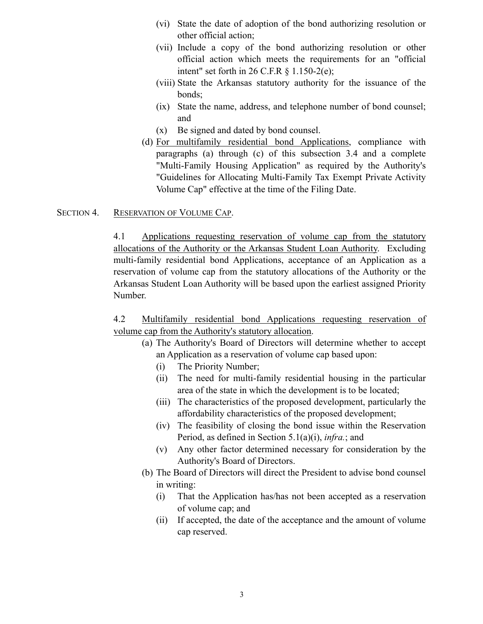- (vi) State the date of adoption of the bond authorizing resolution or other official action;
- (vii) Include a copy of the bond authorizing resolution or other official action which meets the requirements for an "official intent" set forth in  $26$  C.F.R  $\frac{6}{3}$  1.150-2(e);
- (viii) State the Arkansas statutory authority for the issuance of the bonds;
- (ix) State the name, address, and telephone number of bond counsel; and
- (x) Be signed and dated by bond counsel.
- (d) For multifamily residential bond Applications, compliance with paragraphs (a) through (c) of this subsection 3.4 and a complete "Multi-Family Housing Application" as required by the Authority's "Guidelines for Allocating Multi-Family Tax Exempt Private Activity Volume Cap" effective at the time of the Filing Date.

## SECTION 4. RESERVATION OF VOLUME CAP.

4.1 Applications requesting reservation of volume cap from the statutory allocations of the Authority or the Arkansas Student Loan Authority. Excluding multi-family residential bond Applications, acceptance of an Application as a reservation of volume cap from the statutory allocations of the Authority or the Arkansas Student Loan Authority will be based upon the earliest assigned Priority Number.

4.2 Multifamily residential bond Applications requesting reservation of volume cap from the Authority's statutory allocation.

- (a) The Authority's Board of Directors will determine whether to accept an Application as a reservation of volume cap based upon:
	- (i) The Priority Number;
	- (ii) The need for multi-family residential housing in the particular area of the state in which the development is to be located;
	- (iii) The characteristics of the proposed development, particularly the affordability characteristics of the proposed development;
	- (iv) The feasibility of closing the bond issue within the Reservation Period, as defined in Section 5.1(a)(i), *infra.*; and
	- (v) Any other factor determined necessary for consideration by the Authority's Board of Directors.
- (b) The Board of Directors will direct the President to advise bond counsel in writing:
	- (i) That the Application has/has not been accepted as a reservation of volume cap; and
	- (ii) If accepted, the date of the acceptance and the amount of volume cap reserved.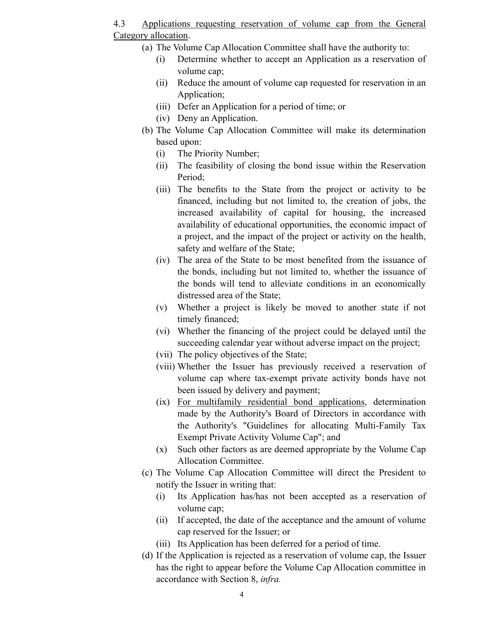4.3 Applications requesting reservation of volume cap from the General Category allocation.

- (a) The Volume Cap Allocation Committee shall have the authority to:
	- (i) Determine whether to accept an Application as a reservation of volume cap;
	- (ii) Reduce the amount of volume cap requested for reservation in an Application;
	- (iii) Defer an Application for a period of time; or
	- (iv) Deny an Application.
- (b) The Volume Cap Allocation Committee will make its determination based upon:
	- (i) The Priority Number;
	- (ii) The feasibility of closing the bond issue within the Reservation Period;
	- (iii) The benefits to the State from the project or activity to be financed, including but not limited to, the creation of jobs, the increased availability of capital for housing, the increased availability of educational opportunities, the economic impact of a project, and the impact of the project or activity on the health, safety and welfare of the State;
	- (iv) The area of the State to be most benefited from the issuance of the bonds, including but not limited to, whether the issuance of the bonds will tend to alleviate conditions in an economically distressed area of the State;
	- (v) Whether a project is likely be moved to another state if not timely financed;
	- (vi) Whether the financing of the project could be delayed until the succeeding calendar year without adverse impact on the project;
	- (vii) The policy objectives of the State;
	- (viii) Whether the Issuer has previously received a reservation of volume cap where tax-exempt private activity bonds have not been issued by delivery and payment;
	- (ix) For multifamily residential bond applications, determination made by the Authority's Board of Directors in accordance with the Authority's "Guidelines for allocating Multi-Family Tax Exempt Private Activity Volume Cap"; and
	- (x) Such other factors as are deemed appropriate by the Volume Cap Allocation Committee.
- (c) The Volume Cap Allocation Committee will direct the President to notify the Issuer in writing that:
	- (i) Its Application has/has not been accepted as a reservation of volume cap;
	- (ii) If accepted, the date of the acceptance and the amount of volume cap reserved for the Issuer; or
	- (iii) Its Application has been deferred for a period of time.
- (d) If the Application is rejected as a reservation of volume cap, the Issuer has the right to appear before the Volume Cap Allocation committee in accordance with Section 8, *infra.*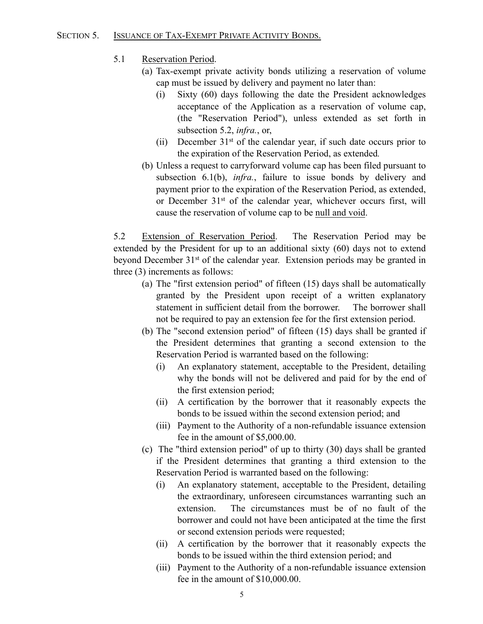## SECTION 5. ISSUANCE OF TAX-EXEMPT PRIVATE ACTIVITY BONDS.

- 5.1 Reservation Period.
	- (a) Tax-exempt private activity bonds utilizing a reservation of volume cap must be issued by delivery and payment no later than:
		- (i) Sixty (60) days following the date the President acknowledges acceptance of the Application as a reservation of volume cap, (the "Reservation Period"), unless extended as set forth in subsection 5.2, *infra.*, or,
		- (ii) December  $31<sup>st</sup>$  of the calendar year, if such date occurs prior to the expiration of the Reservation Period, as extended*.*
	- (b) Unless a request to carryforward volume cap has been filed pursuant to subsection 6.1(b), *infra.*, failure to issue bonds by delivery and payment prior to the expiration of the Reservation Period, as extended, or December 31st of the calendar year, whichever occurs first, will cause the reservation of volume cap to be null and void.

5.2 Extension of Reservation Period. The Reservation Period may be extended by the President for up to an additional sixty (60) days not to extend beyond December 31st of the calendar year. Extension periods may be granted in three (3) increments as follows:

- (a) The "first extension period" of fifteen (15) days shall be automatically granted by the President upon receipt of a written explanatory statement in sufficient detail from the borrower. The borrower shall not be required to pay an extension fee for the first extension period.
- (b) The "second extension period" of fifteen (15) days shall be granted if the President determines that granting a second extension to the Reservation Period is warranted based on the following:
	- (i) An explanatory statement, acceptable to the President, detailing why the bonds will not be delivered and paid for by the end of the first extension period;
	- (ii) A certification by the borrower that it reasonably expects the bonds to be issued within the second extension period; and
	- (iii) Payment to the Authority of a non-refundable issuance extension fee in the amount of \$5,000.00.
- (c) The "third extension period" of up to thirty (30) days shall be granted if the President determines that granting a third extension to the Reservation Period is warranted based on the following:
	- (i) An explanatory statement, acceptable to the President, detailing the extraordinary, unforeseen circumstances warranting such an extension. The circumstances must be of no fault of the borrower and could not have been anticipated at the time the first or second extension periods were requested;
	- (ii) A certification by the borrower that it reasonably expects the bonds to be issued within the third extension period; and
	- (iii) Payment to the Authority of a non-refundable issuance extension fee in the amount of \$10,000.00.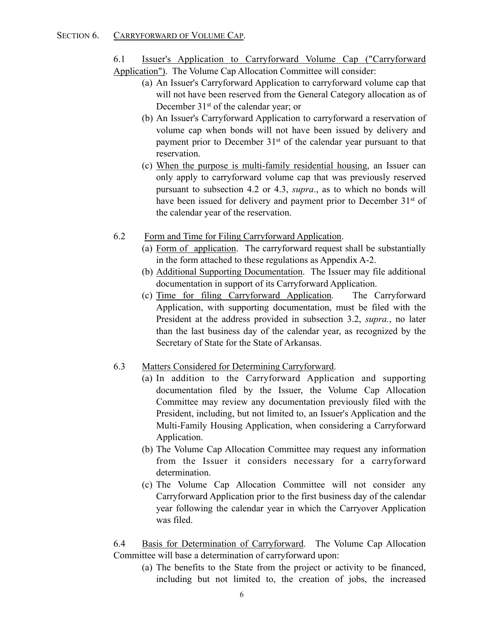## SECTION 6. CARRYFORWARD OF VOLUME CAP.

- 6.1 Issuer's Application to Carryforward Volume Cap ("Carryforward
- Application"). The Volume Cap Allocation Committee will consider:
	- (a) An Issuer's Carryforward Application to carryforward volume cap that will not have been reserved from the General Category allocation as of December 31<sup>st</sup> of the calendar year; or
	- (b) An Issuer's Carryforward Application to carryforward a reservation of volume cap when bonds will not have been issued by delivery and payment prior to December 31<sup>st</sup> of the calendar year pursuant to that reservation.
	- (c) When the purpose is multi-family residential housing, an Issuer can only apply to carryforward volume cap that was previously reserved pursuant to subsection 4.2 or 4.3, *supra*., as to which no bonds will have been issued for delivery and payment prior to December 31<sup>st</sup> of the calendar year of the reservation.
- 6.2 Form and Time for Filing Carryforward Application.
	- (a) Form of application. The carryforward request shall be substantially in the form attached to these regulations as Appendix A-2.
	- (b) Additional Supporting Documentation. The Issuer may file additional documentation in support of its Carryforward Application.
	- (c) Time for filing Carryforward Application. The Carryforward Application, with supporting documentation, must be filed with the President at the address provided in subsection 3.2, *supra.*, no later than the last business day of the calendar year, as recognized by the Secretary of State for the State of Arkansas.
- 6.3 Matters Considered for Determining Carryforward.
	- (a) In addition to the Carryforward Application and supporting documentation filed by the Issuer, the Volume Cap Allocation Committee may review any documentation previously filed with the President, including, but not limited to, an Issuer's Application and the Multi-Family Housing Application, when considering a Carryforward Application.
	- (b) The Volume Cap Allocation Committee may request any information from the Issuer it considers necessary for a carryforward determination.
	- (c) The Volume Cap Allocation Committee will not consider any Carryforward Application prior to the first business day of the calendar year following the calendar year in which the Carryover Application was filed.

6.4 Basis for Determination of Carryforward. The Volume Cap Allocation Committee will base a determination of carryforward upon:

(a) The benefits to the State from the project or activity to be financed, including but not limited to, the creation of jobs, the increased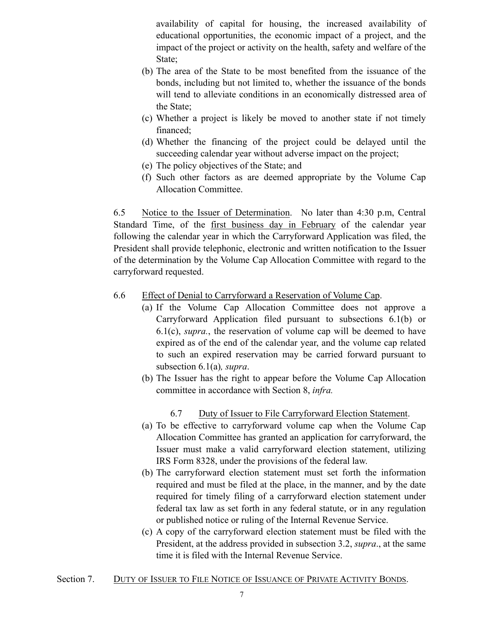availability of capital for housing, the increased availability of educational opportunities, the economic impact of a project, and the impact of the project or activity on the health, safety and welfare of the State;

- (b) The area of the State to be most benefited from the issuance of the bonds, including but not limited to, whether the issuance of the bonds will tend to alleviate conditions in an economically distressed area of the State;
- (c) Whether a project is likely be moved to another state if not timely financed;
- (d) Whether the financing of the project could be delayed until the succeeding calendar year without adverse impact on the project;
- (e) The policy objectives of the State; and
- (f) Such other factors as are deemed appropriate by the Volume Cap Allocation Committee.

6.5 Notice to the Issuer of Determination. No later than 4:30 p.m, Central Standard Time, of the first business day in February of the calendar year following the calendar year in which the Carryforward Application was filed, the President shall provide telephonic, electronic and written notification to the Issuer of the determination by the Volume Cap Allocation Committee with regard to the carryforward requested.

- 6.6 Effect of Denial to Carryforward a Reservation of Volume Cap.
	- (a) If the Volume Cap Allocation Committee does not approve a Carryforward Application filed pursuant to subsections 6.1(b) or 6.1(c), *supra.*, the reservation of volume cap will be deemed to have expired as of the end of the calendar year, and the volume cap related to such an expired reservation may be carried forward pursuant to subsection 6.1(a)*, supra*.
	- (b) The Issuer has the right to appear before the Volume Cap Allocation committee in accordance with Section 8, *infra.*

# 6.7 Duty of Issuer to File Carryforward Election Statement.

- (a) To be effective to carryforward volume cap when the Volume Cap Allocation Committee has granted an application for carryforward, the Issuer must make a valid carryforward election statement, utilizing IRS Form 8328, under the provisions of the federal law.
- (b) The carryforward election statement must set forth the information required and must be filed at the place, in the manner, and by the date required for timely filing of a carryforward election statement under federal tax law as set forth in any federal statute, or in any regulation or published notice or ruling of the Internal Revenue Service.
- (c) A copy of the carryforward election statement must be filed with the President, at the address provided in subsection 3.2, *supra*., at the same time it is filed with the Internal Revenue Service.
- Section 7. DUTY OF ISSUER TO FILE NOTICE OF ISSUANCE OF PRIVATE ACTIVITY BONDS.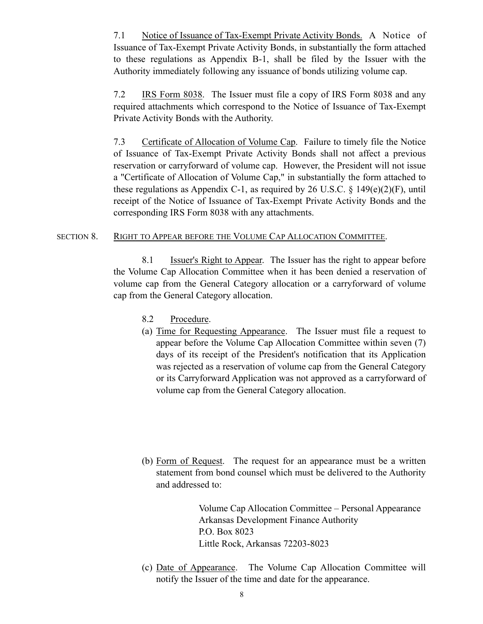7.1 Notice of Issuance of Tax-Exempt Private Activity Bonds. A Notice of Issuance of Tax-Exempt Private Activity Bonds, in substantially the form attached to these regulations as Appendix B-1, shall be filed by the Issuer with the Authority immediately following any issuance of bonds utilizing volume cap.

 7.2 IRS Form 8038. The Issuer must file a copy of IRS Form 8038 and any required attachments which correspond to the Notice of Issuance of Tax-Exempt Private Activity Bonds with the Authority.

 7.3 Certificate of Allocation of Volume Cap. Failure to timely file the Notice of Issuance of Tax-Exempt Private Activity Bonds shall not affect a previous reservation or carryforward of volume cap. However, the President will not issue a "Certificate of Allocation of Volume Cap," in substantially the form attached to these regulations as Appendix C-1, as required by 26 U.S.C.  $\S$  149(e)(2)(F), until receipt of the Notice of Issuance of Tax-Exempt Private Activity Bonds and the corresponding IRS Form 8038 with any attachments.

### SECTION 8. RIGHT TO APPEAR BEFORE THE VOLUME CAP ALLOCATION COMMITTEE.

 8.1 Issuer's Right to Appear. The Issuer has the right to appear before the Volume Cap Allocation Committee when it has been denied a reservation of volume cap from the General Category allocation or a carryforward of volume cap from the General Category allocation.

- 8.2 Procedure.
- (a) Time for Requesting Appearance. The Issuer must file a request to appear before the Volume Cap Allocation Committee within seven (7) days of its receipt of the President's notification that its Application was rejected as a reservation of volume cap from the General Category or its Carryforward Application was not approved as a carryforward of volume cap from the General Category allocation.
- (b) Form of Request. The request for an appearance must be a written statement from bond counsel which must be delivered to the Authority and addressed to:

 Volume Cap Allocation Committee – Personal Appearance Arkansas Development Finance Authority P.O. Box 8023 Little Rock, Arkansas 72203-8023

(c) Date of Appearance. The Volume Cap Allocation Committee will notify the Issuer of the time and date for the appearance.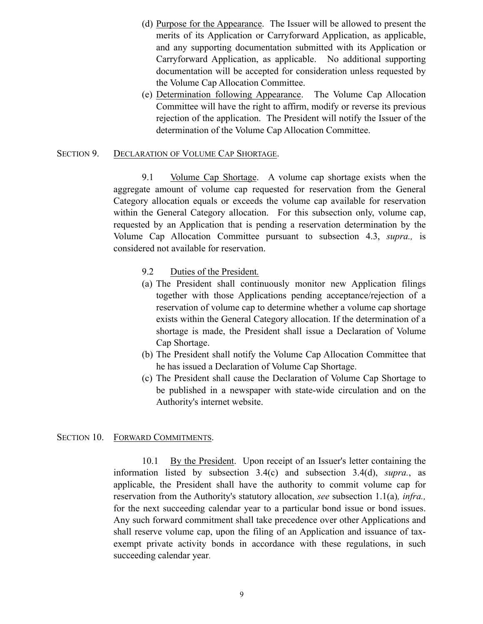- (d) Purpose for the Appearance. The Issuer will be allowed to present the merits of its Application or Carryforward Application, as applicable, and any supporting documentation submitted with its Application or Carryforward Application, as applicable. No additional supporting documentation will be accepted for consideration unless requested by the Volume Cap Allocation Committee.
- (e) Determination following Appearance. The Volume Cap Allocation Committee will have the right to affirm, modify or reverse its previous rejection of the application. The President will notify the Issuer of the determination of the Volume Cap Allocation Committee.

#### SECTION 9. DECLARATION OF VOLUME CAP SHORTAGE.

 9.1 Volume Cap Shortage. A volume cap shortage exists when the aggregate amount of volume cap requested for reservation from the General Category allocation equals or exceeds the volume cap available for reservation within the General Category allocation. For this subsection only, volume cap, requested by an Application that is pending a reservation determination by the Volume Cap Allocation Committee pursuant to subsection 4.3, *supra.,* is considered not available for reservation.

- 9.2 Duties of the President*.*
- (a) The President shall continuously monitor new Application filings together with those Applications pending acceptance/rejection of a reservation of volume cap to determine whether a volume cap shortage exists within the General Category allocation. If the determination of a shortage is made, the President shall issue a Declaration of Volume Cap Shortage.
- (b) The President shall notify the Volume Cap Allocation Committee that he has issued a Declaration of Volume Cap Shortage.
- (c) The President shall cause the Declaration of Volume Cap Shortage to be published in a newspaper with state-wide circulation and on the Authority's internet website.

#### SECTION 10. FORWARD COMMITMENTS.

 10.1 By the President. Upon receipt of an Issuer's letter containing the information listed by subsection 3.4(c) and subsection 3.4(d), *supra.*, as applicable, the President shall have the authority to commit volume cap for reservation from the Authority's statutory allocation, *see* subsection 1.1(a)*, infra.,* for the next succeeding calendar year to a particular bond issue or bond issues. Any such forward commitment shall take precedence over other Applications and shall reserve volume cap, upon the filing of an Application and issuance of taxexempt private activity bonds in accordance with these regulations, in such succeeding calendar year.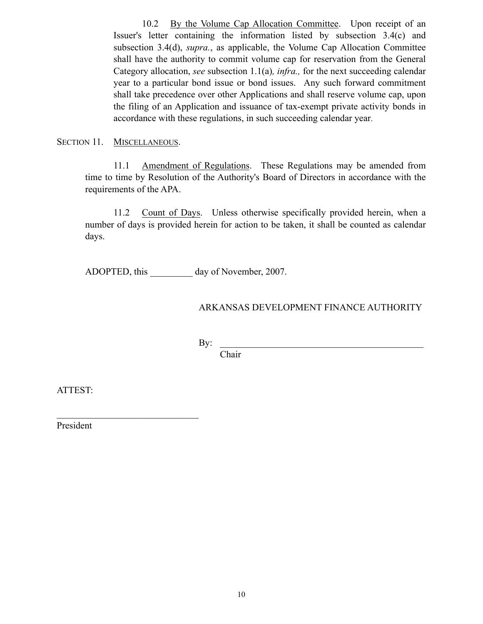10.2 By the Volume Cap Allocation Committee. Upon receipt of an Issuer's letter containing the information listed by subsection 3.4(c) and subsection 3.4(d), *supra.*, as applicable, the Volume Cap Allocation Committee shall have the authority to commit volume cap for reservation from the General Category allocation, *see* subsection 1.1(a)*, infra.,* for the next succeeding calendar year to a particular bond issue or bond issues. Any such forward commitment shall take precedence over other Applications and shall reserve volume cap, upon the filing of an Application and issuance of tax-exempt private activity bonds in accordance with these regulations, in such succeeding calendar year.

SECTION 11. MISCELLANEOUS.

11.1 Amendment of Regulations. These Regulations may be amended from time to time by Resolution of the Authority's Board of Directors in accordance with the requirements of the APA.

11.2 Count of Days. Unless otherwise specifically provided herein, when a number of days is provided herein for action to be taken, it shall be counted as calendar days.

ADOPTED, this day of November, 2007.

## ARKANSAS DEVELOPMENT FINANCE AUTHORITY

 $\mathbf{By:}$ 

Chair

ATTEST:

President

 $\mathcal{L}_\text{max}$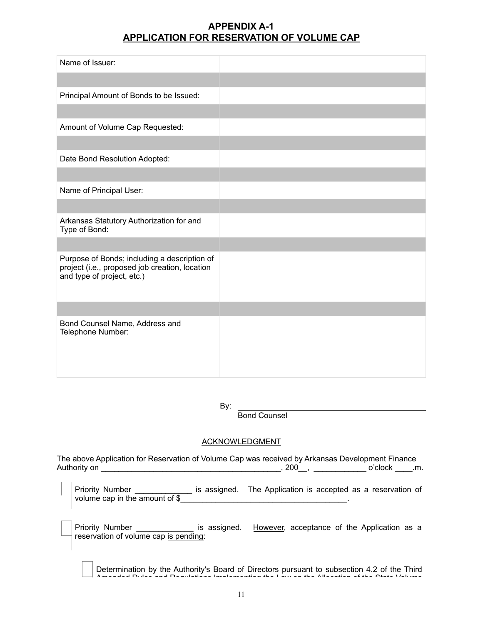## **APPENDIX A-1 APPLICATION FOR RESERVATION OF VOLUME CAP**

| Name of Issuer:                                                                                                              |  |
|------------------------------------------------------------------------------------------------------------------------------|--|
|                                                                                                                              |  |
| Principal Amount of Bonds to be Issued:                                                                                      |  |
|                                                                                                                              |  |
| Amount of Volume Cap Requested:                                                                                              |  |
|                                                                                                                              |  |
| Date Bond Resolution Adopted:                                                                                                |  |
|                                                                                                                              |  |
| Name of Principal User:                                                                                                      |  |
|                                                                                                                              |  |
| Arkansas Statutory Authorization for and<br>Type of Bond:                                                                    |  |
|                                                                                                                              |  |
| Purpose of Bonds; including a description of<br>project (i.e., proposed job creation, location<br>and type of project, etc.) |  |
|                                                                                                                              |  |
| Bond Counsel Name, Address and<br>Telephone Number:                                                                          |  |

By:

Bond Counsel

#### ACKNOWLEDGMENT

The above Application for Reservation of Volume Cap was received by Arkansas Development Finance Authority on \_\_\_\_\_\_\_\_\_\_\_\_\_\_\_\_\_\_\_\_\_\_\_\_\_\_\_\_\_\_\_\_\_\_\_\_\_\_\_\_\_, 200\_\_, \_\_\_\_\_\_\_\_\_\_\_\_ o'clock \_\_\_\_.m.

| Priority Number<br>volume cap in the amount of $$$ | is assigned. The Application is accepted as a reservation of |  |
|----------------------------------------------------|--------------------------------------------------------------|--|
|                                                    |                                                              |  |

Priority Number \_\_\_\_\_\_\_\_\_\_\_\_\_\_\_\_ is assigned. However, acceptance of the Application as a reservation of volume cap is pending:

Determination by the Authority's Board of Directors pursuant to subsection 4.2 of the Third Amended Rules and Regulations Implementing the Law on the Allocation of the State Volume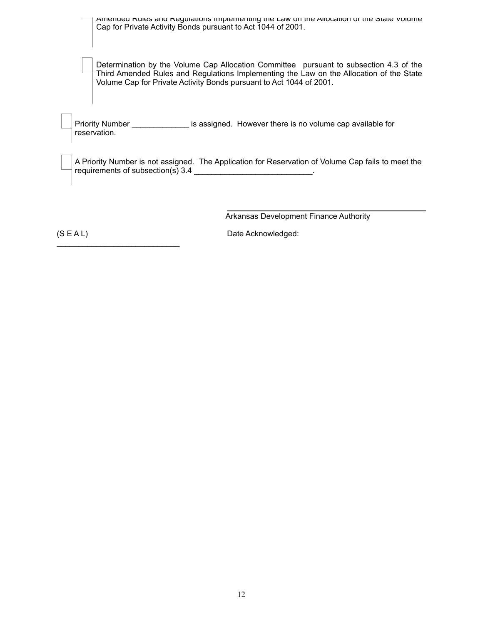| Amended Rules and Regulations implementing the Law on the Allocation of the State Volume<br>Cap for Private Activity Bonds pursuant to Act 1044 of 2001.                                                                                                 |
|----------------------------------------------------------------------------------------------------------------------------------------------------------------------------------------------------------------------------------------------------------|
| Determination by the Volume Cap Allocation Committee pursuant to subsection 4.3 of the<br>Third Amended Rules and Regulations Implementing the Law on the Allocation of the State<br>Volume Cap for Private Activity Bonds pursuant to Act 1044 of 2001. |
| Priority Number __________________ is assigned. However there is no volume cap available for<br>reservation.                                                                                                                                             |
| A Priority Number is not assigned. The Application for Reservation of Volume Cap fails to meet the<br>requirements of subsection(s) 3.4                                                                                                                  |
| <b>Arkansas Development Finance Authority</b>                                                                                                                                                                                                            |

(S E A L) Date Acknowledged:

\_\_\_\_\_\_\_\_\_\_\_\_\_\_\_\_\_\_\_\_\_\_\_\_\_\_\_\_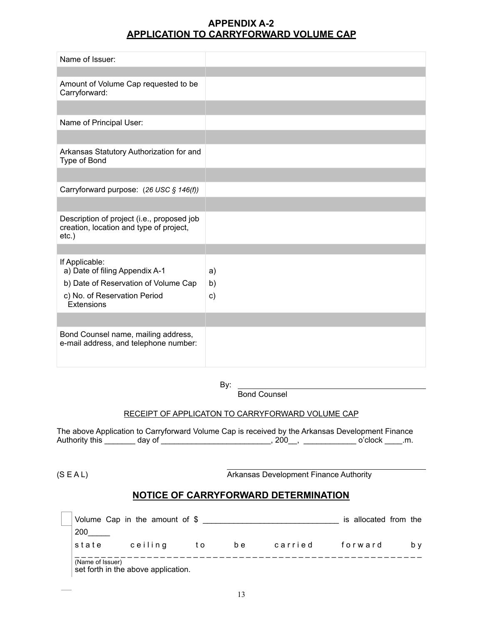## **APPENDIX A-2 APPLICATION TO CARRYFORWARD VOLUME CAP**

| Name of Issuer:                                                                                   |               |
|---------------------------------------------------------------------------------------------------|---------------|
|                                                                                                   |               |
| Amount of Volume Cap requested to be<br>Carryforward:                                             |               |
|                                                                                                   |               |
| Name of Principal User:                                                                           |               |
|                                                                                                   |               |
| Arkansas Statutory Authorization for and<br>Type of Bond                                          |               |
|                                                                                                   |               |
| Carryforward purpose: (26 USC § 146(f))                                                           |               |
|                                                                                                   |               |
| Description of project (i.e., proposed job<br>creation, location and type of project,<br>$etc.$ ) |               |
|                                                                                                   |               |
| If Applicable:<br>a) Date of filing Appendix A-1                                                  | a)            |
| b) Date of Reservation of Volume Cap                                                              | b)            |
| c) No. of Reservation Period<br>Extensions                                                        | $\mathsf{c})$ |
|                                                                                                   |               |
| Bond Counsel name, mailing address,<br>e-mail address, and telephone number:                      |               |

By:

Bond Counsel

### RECEIPT OF APPLICATON TO CARRYFORWARD VOLUME CAP

The above Application to Carryforward Volume Cap is received by the Arkansas Development Finance Authority this \_\_\_\_\_\_\_ day of \_\_\_\_\_\_\_\_\_\_\_\_\_\_\_\_\_\_\_\_\_\_\_\_\_, 200\_\_, \_\_\_\_\_\_\_\_\_\_\_\_ o'clock \_\_\_\_.m.

 $\overline{a}$ 

(S E A L) Arkansas Development Finance Authority Arkansas Development Finance Authority

## **NOTICE OF CARRYFORWARD DETERMINATION**

|                  | Volume Cap in the amount of \$      |     |     |         | is allocated from the |     |
|------------------|-------------------------------------|-----|-----|---------|-----------------------|-----|
| 200              |                                     |     |     |         |                       |     |
| state            | ceiling                             | t o | b e | carried | forward               | b v |
| (Name of Issuer) | set forth in the above application. |     |     |         |                       |     |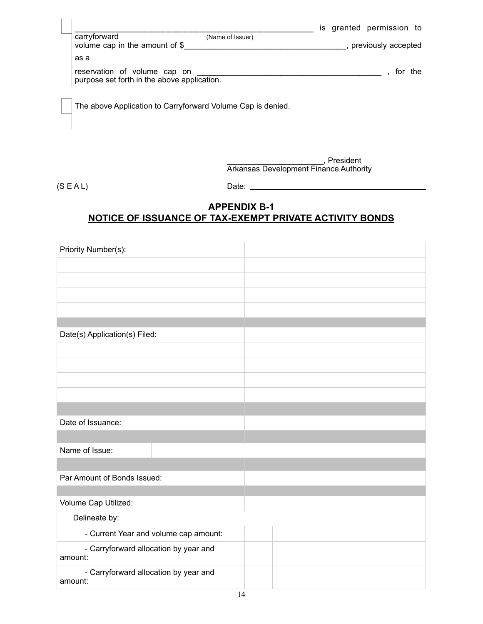|                                                                             |                  | is granted permission to |  |
|-----------------------------------------------------------------------------|------------------|--------------------------|--|
| carryforward<br>volume cap in the amount of \$                              | (Name of Issuer) | previously accepted      |  |
| as a                                                                        |                  |                          |  |
| reservation of volume cap on<br>purpose set forth in the above application. |                  | for the                  |  |

The above Application to Carryforward Volume Cap is denied.

 \_\_\_\_\_\_\_\_\_\_\_\_\_\_\_\_\_\_\_\_\_\_, President Arkansas Development Finance Authority

(S E A L) Date:

 $\overline{a}$ 

# **APPENDIX B-1 NOTICE OF ISSUANCE OF TAX-EXEMPT PRIVATE ACTIVITY BONDS**

| Priority Number(s):                              |  |
|--------------------------------------------------|--|
|                                                  |  |
|                                                  |  |
|                                                  |  |
|                                                  |  |
|                                                  |  |
| Date(s) Application(s) Filed:                    |  |
|                                                  |  |
|                                                  |  |
|                                                  |  |
|                                                  |  |
|                                                  |  |
| Date of Issuance:                                |  |
|                                                  |  |
| Name of Issue:                                   |  |
|                                                  |  |
| Par Amount of Bonds Issued:                      |  |
|                                                  |  |
| Volume Cap Utilized:                             |  |
| Delineate by:                                    |  |
| - Current Year and volume cap amount:            |  |
| - Carryforward allocation by year and<br>amount: |  |
| - Carryforward allocation by year and<br>amount: |  |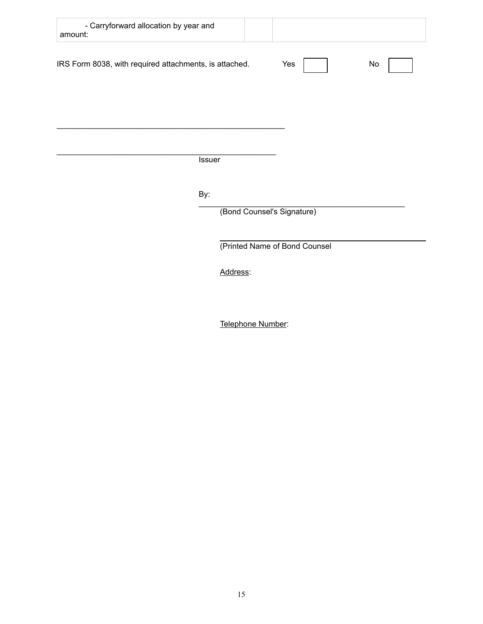| - Carryforward allocation by year and<br>amount:       |                            |                               |    |
|--------------------------------------------------------|----------------------------|-------------------------------|----|
| IRS Form 8038, with required attachments, is attached. |                            | Yes                           | No |
|                                                        |                            |                               |    |
|                                                        | <b>Issuer</b>              |                               |    |
|                                                        |                            |                               |    |
| By:                                                    |                            |                               |    |
|                                                        | (Bond Counsel's Signature) |                               |    |
|                                                        |                            | (Printed Name of Bond Counsel |    |
|                                                        | Address:                   |                               |    |
|                                                        |                            |                               |    |

Telephone Number: